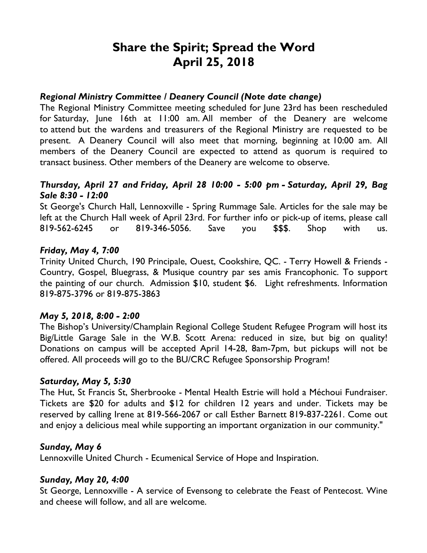# **Share the Spirit; Spread the Word April 25, 2018**

#### *Regional Ministry Committee / Deanery Council (Note date change)*

The Regional Ministry Committee meeting scheduled for June 23rd has been rescheduled for Saturday, June 16th at 11:00 am. All member of the Deanery are welcome to attend but the wardens and treasurers of the Regional Ministry are requested to be present. A Deanery Council will also meet that morning, beginning at 10:00 am. All members of the Deanery Council are expected to attend as quorum is required to transact business. Other members of the Deanery are welcome to observe.

## *Thursday, April 27 and Friday, April 28 10:00 - 5:00 pm - Saturday, April 29, Bag Sale 8:30 - 12:00*

St George's Church Hall, Lennoxville - Spring Rummage Sale. Articles for the sale may be left at the Church Hall week of April 23rd. For further info or pick-up of items, please call 819-562-6245 or 819-346-5056. Save you \$\$\$. Shop with us.

### *Friday, May 4, 7:00*

Trinity United Church, 190 Principale, Ouest, Cookshire, QC. - Terry Howell & Friends - Country, Gospel, Bluegrass, & Musique country par ses amis Francophonic. To support the painting of our church. Admission \$10, student \$6. Light refreshments. Information 819-875-3796 or 819-875-3863

## *May 5, 2018, 8:00 - 2:00*

The Bishop's University/Champlain Regional College Student Refugee Program will host its Big/Little Garage Sale in the W.B. Scott Arena: reduced in size, but big on quality! Donations on campus will be accepted April 14-28, 8am-7pm, but pickups will not be offered. All proceeds will go to the BU/CRC Refugee Sponsorship Program!

#### *Saturday, May 5, 5:30*

The Hut, St Francis St, Sherbrooke - Mental Health Estrie will hold a Méchoui Fundraiser. Tickets are \$20 for adults and \$12 for children 12 years and under. Tickets may be reserved by calling Irene at 819-566-2067 or call Esther Barnett 819-837-2261. Come out and enjoy a delicious meal while supporting an important organization in our community."

#### *Sunday, May 6*

Lennoxville United Church - Ecumenical Service of Hope and Inspiration.

## *Sunday, May 20, 4:00*

St George, Lennoxville - A service of Evensong to celebrate the Feast of Pentecost. Wine and cheese will follow, and all are welcome.